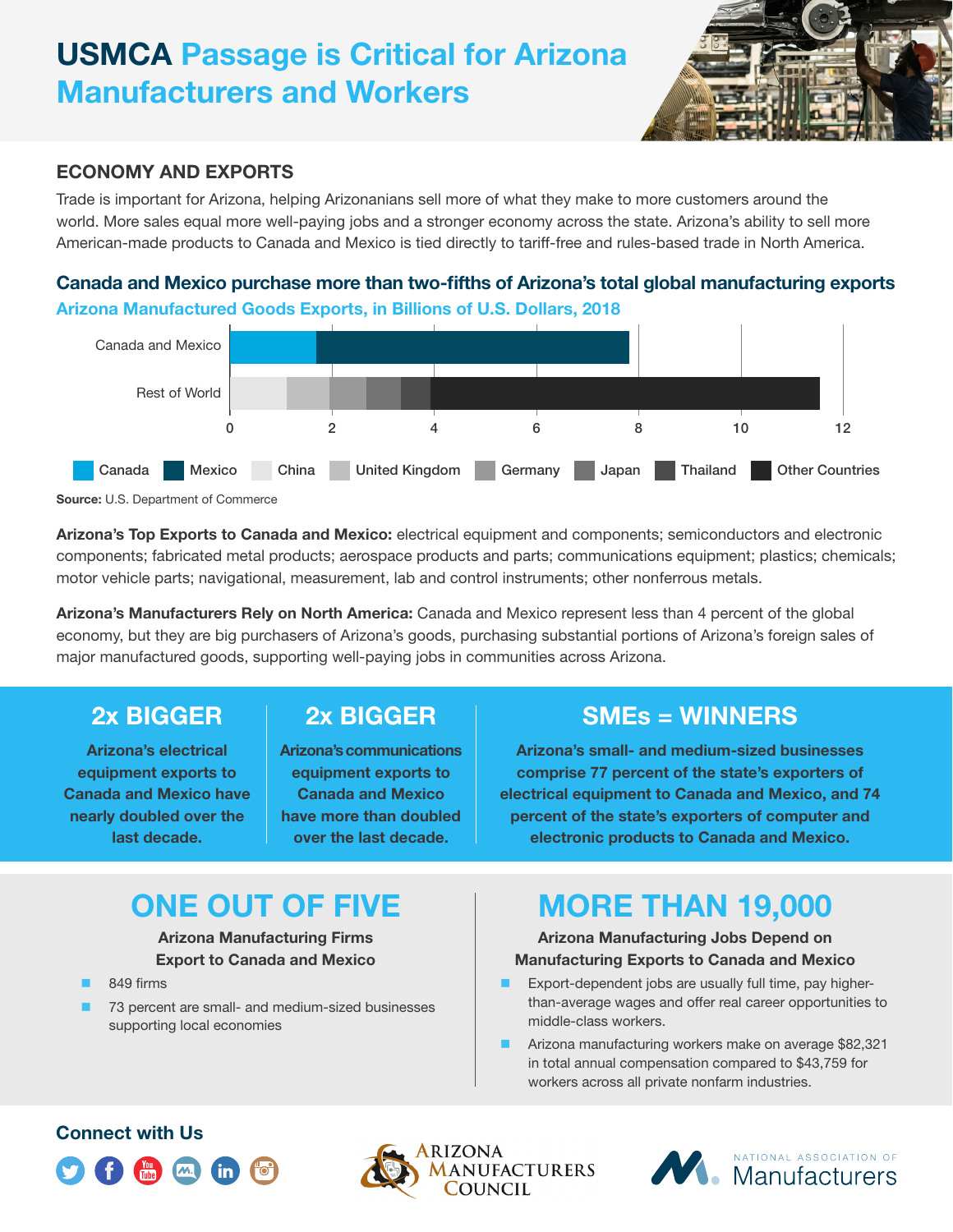# **USMCA Passage is Critical for Arizona Manufacturers and Workers**



#### **ECONOMY AND EXPORTS**

Trade is important for Arizona, helping Arizonanians sell more of what they make to more customers around the world. More sales equal more well-paying jobs and a stronger economy across the state. Arizona's ability to sell more American-made products to Canada and Mexico is tied directly to tariff-free and rules-based trade in North America.

### **Canada and Mexico purchase more than two-fifths of Arizona's total global manufacturing exports Arizona Manufactured Goods Exports, in Billions of U.S. Dollars, 2018**





**Arizona's Top Exports to Canada and Mexico:** electrical equipment and components; semiconductors and electronic components; fabricated metal products; aerospace products and parts; communications equipment; plastics; chemicals; motor vehicle parts; navigational, measurement, lab and control instruments; other nonferrous metals.

**Arizona's Manufacturers Rely on North America:** Canada and Mexico represent less than 4 percent of the global economy, but they are big purchasers of Arizona's goods, purchasing substantial portions of Arizona's foreign sales of major manufactured goods, supporting well-paying jobs in communities across Arizona.

### **2x BIGGER**

**Arizona's electrical equipment exports to Canada and Mexico have nearly doubled over the last decade.**

## **2x BIGGER**

**Arizona's communications equipment exports to Canada and Mexico have more than doubled over the last decade.**

## **SMEs = WINNERS**

**Arizona's small- and medium-sized businesses comprise 77 percent of the state's exporters of electrical equipment to Canada and Mexico, and 74 percent of the state's exporters of computer and electronic products to Canada and Mexico.**

# **ONE OUT OF FIVE**

**Arizona Manufacturing Firms Export to Canada and Mexico**

- 849 firms
- 73 percent are small- and medium-sized businesses supporting local economies

# **MORE THAN 19,000**

#### **Arizona Manufacturing Jobs Depend on Manufacturing Exports to Canada and Mexico**

- Export-dependent jobs are usually full time, pay higherthan-average wages and offer real career opportunities to middle-class workers.
- Arizona manufacturing workers make on average \$82,321 in total annual compensation compared to \$43,759 for workers across all private nonfarm industries.

### **Connect with Us**